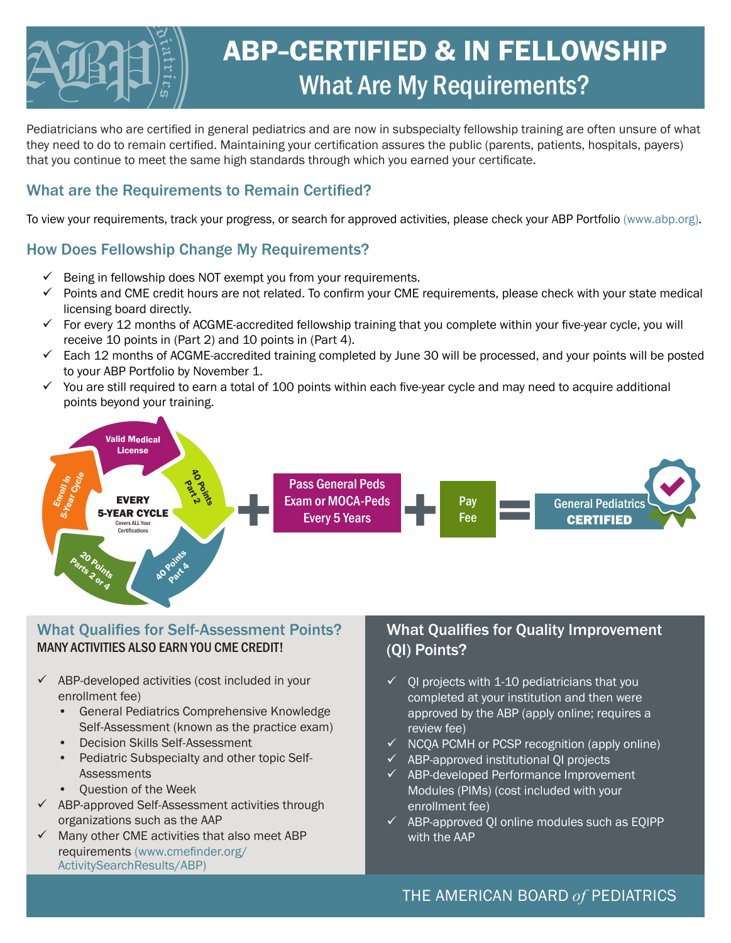

Pediatricians who are certified in general pediatrics and are now in subspecialty fellowship training are often unsure of what they need to do to remain certified. Maintaining your certification assures the public (parents, patients, hospitals, payers) that you continue to meet the same high standards through which you earned your certificate.

### What are the Requirements to Remain Certified?

To view your requirements, track your progress, or search for approved activities, please check your ABP Portfolio (www.abp.org).

## How Does Fellowship Change My Requirements?

- $\checkmark$  Being in fellowship does NOT exempt you from your requirements.
- $\checkmark$  Points and CME credit hours are not related. To confirm your CME requirements, please check with your state medical licensing board directly.
- $\checkmark$  For every 12 months of ACGME-accredited fellowship training that you complete within your five-year cycle, you will receive 10 points in (Part 2) and 10 points in (Part 4).
- $\checkmark$  Each 12 months of ACGME-accredited training completed by June 30 will be processed, and your points will be posted to your ABP Portfolio by November 1.
- $\checkmark$  You are still required to earn a total of 100 points within each five-year cycle and may need to acquire additional points beyond your training.



#### What Qualifies for Self-Assessment Points? MANY ACTIVITIES ALSO EARN YOU CME CREDIT!

- $\checkmark$  ABP-developed activities (cost included in your enrollment fee)
	- General Pediatrics Comprehensive Knowledge Self-Assessment (known as the practice exam)
	- Decision Skills Self-Assessment
	- Pediatric Subspecialty and other topic Self-**Assessments**
	- Question of the Week
- $\checkmark$  ABP-approved Self-Assessment activities through organizations such as the AAP
- $\checkmark$  Many other CME activities that also meet ABP requirements (www.cmefinder.org/ ActivitySearchResults/ABP)

### What Qualifies for Quality Improvement (QI) Points?

- 9 QI projects with 1-10 pediatricians that you completed at your institution and then were approved by the ABP (apply online; requires a review fee)
- $\checkmark$  NCQA PCMH or PCSP recognition (apply online)
- $\checkmark$  ABP-approved institutional QI projects
- $\checkmark$  ABP-developed Performance Improvement Modules (PIMs) (cost included with your enrollment fee)
- $\checkmark$  ABP-approved QI online modules such as EQIPP with the AAP